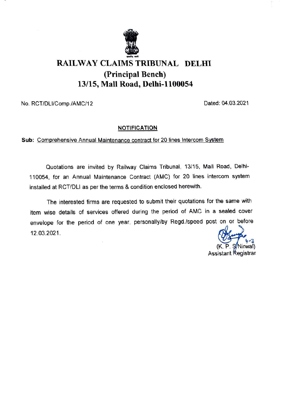

## RAILWAY CLAIMS TRIBUNAL DELHI (Principal Bench) 13/15, Mall Road, Delhi-1100054

No. RCT/DLI/Comp./AMC/12 Dated: 04.03.2021

## **NOTIFICATION**

Sub: Comprehensive Annual Maintenance contract for 20 lines Intercom System

Quotations are invited by Railway Claims Tribunal, 13/15, Mall Road, Delhi-110054, for an Annual Maintenance Contract (AMC) for 20 lines intercom system installed at RCT/DLI as per the terms & condition enclosed herewith.

The interested firms are requested to submit their quotations for the same with item wise details of services offered during the period of AMC in a sealed cover envelope for the period of one year, personally/by Regd./speed post on or before 12.03.2021.

Assistant Registrar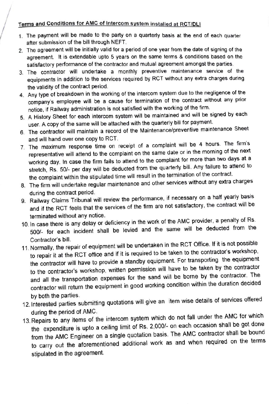## Terms and Conditions for AMC of Intercom system installed at RCT/DLI

- 1. The payment will be made to the party on a quarterly basis at the end of each quarter after submission of the bill through NEFT.
- 2. The agreement will be initially valid for a period of one year from the date of signing of the agreement. It is extendable upto 5 years on the same terms & conditions based on the satisfactory performance of the contractor and mutual agreement amongst the parties
- 3. The contractor will undertake a monthly preventive maintenance service of the equipments in addition to the services required by RCT without any extra charges during the validity of the contract period.
- 4. Any type of breakdown in the working of the intercom system due to the negligence of the company's employee will be a cause for termination of the contract without any prior notice, if Railway administration is not satisfied with the working of the firm.
- 5. A History Sheet for each intercom system will be maintained and will be signed by each user. A copy of the same will be attached with the quarterly bill for payment.
- 6. The contractor will maintain a record of the Maintenance/preventive maintenance Sheet and will hand over one copy to RCT.
- 7. The maximum response time on receipt of a complaint will be 4 hours. The firm's representative will attend to the complaint on the same date or in the morning of the next working day. In case the firm fails to attend to the complaint for more than two days at a stretch, Rs. 50/- per day will be deducted from the quarterly bill. Any failure to attend to the complaint within the stipulated time will result in the termination of the contract.
- 8. The firm will undertake regular maintenance and other services without any extra charges during the contract period.
- 9. Railway Claims Tribunal will review the performance, if necessary on a half yearly basis and if the RCT feels that the services of the firm are not satisfactory, the contract will be terminated without any notice.
- 10. In case there is any delay or deficiency in the work of the AMC provider, a penalty of Rs. 500/- for each incident shall be levied and the same will be deducted from the Contractor's bill.
- 11.Normally, the repair of equipment will be undertaken in the RCT Office. If it is not possible to repair it at the RCT office and if it is required to be taken to the contractor's workshop, the contractor will have to provide a standby equipment. For transporting the equipment to the contractor's workshop, written permission will have to be taken by the contractor and all the transpotation expenses for the sand will be borne by the contractor. The contractor will return the equipment in good working condition within the duration decided by both the parties.
- 12. Interested parties submitting quotations will give an item wise details of services offered during the period of AMC.
- 13. Repairs to any items of the intercom system which do not fall under the AMC for which the expenditure is upto a ceiling limit of Rs. 2,000/- on each occasion shall be got done from the AMC Engineer on a single quotation basis. The AMC contractor shall be bound to carry out the aforementioned additional work as and when required on the terms stipulated in the agreement.